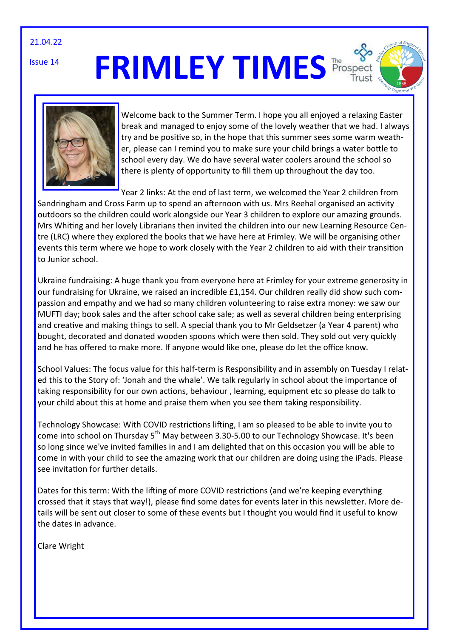21.04.22

Issue 14

## **FRIMLEY TIMES** Prospect





Welcome back to the Summer Term. I hope you all enjoyed a relaxing Easter break and managed to enjoy some of the lovely weather that we had. I always try and be positive so, in the hope that this summer sees some warm weather, please can I remind you to make sure your child brings a water bottle to school every day. We do have several water coolers around the school so there is plenty of opportunity to fill them up throughout the day too.

Year 2 links: At the end of last term, we welcomed the Year 2 children from Sandringham and Cross Farm up to spend an afternoon with us. Mrs Reehal organised an activity outdoors so the children could work alongside our Year 3 children to explore our amazing grounds. Mrs Whiting and her lovely Librarians then invited the children into our new Learning Resource Centre (LRC) where they explored the books that we have here at Frimley. We will be organising other events this term where we hope to work closely with the Year 2 children to aid with their transition to Junior school.

Ukraine fundraising: A huge thank you from everyone here at Frimley for your extreme generosity in our fundraising for Ukraine, we raised an incredible £1,154. Our children really did show such compassion and empathy and we had so many children volunteering to raise extra money: we saw our MUFTI day; book sales and the after school cake sale; as well as several children being enterprising and creative and making things to sell. A special thank you to Mr Geldsetzer (a Year 4 parent) who bought, decorated and donated wooden spoons which were then sold. They sold out very quickly and he has offered to make more. If anyone would like one, please do let the office know.

School Values: The focus value for this half-term is Responsibility and in assembly on Tuesday I related this to the Story of: 'Jonah and the whale'. We talk regularly in school about the importance of taking responsibility for our own actions, behaviour , learning, equipment etc so please do talk to your child about this at home and praise them when you see them taking responsibility.

Technology Showcase: With COVID restrictions lifting, I am so pleased to be able to invite you to come into school on Thursday 5<sup>th</sup> May between 3.30-5.00 to our Technology Showcase. It's been so long since we've invited families in and I am delighted that on this occasion you will be able to come in with your child to see the amazing work that our children are doing using the iPads. Please see invitation for further details.

Dates for this term: With the lifting of more COVID restrictions (and we're keeping everything crossed that it stays that way!), please find some dates for events later in this newsletter. More details will be sent out closer to some of these events but I thought you would find it useful to know the dates in advance.

Clare Wright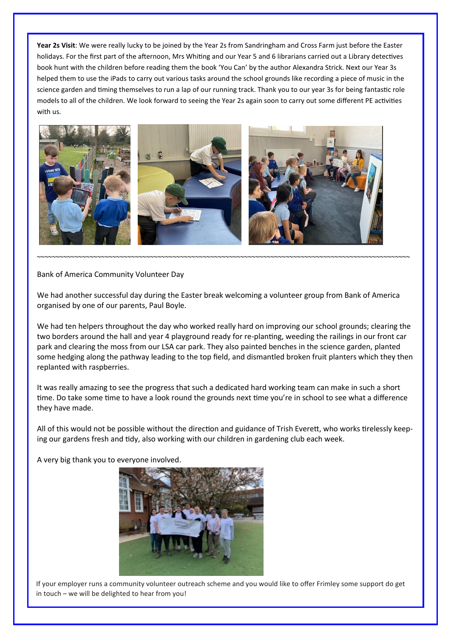**Year 2s Visit**: We were really lucky to be joined by the Year 2s from Sandringham and Cross Farm just before the Easter holidays. For the first part of the afternoon, Mrs Whiting and our Year 5 and 6 librarians carried out a Library detectives book hunt with the children before reading them the book 'You Can' by the author Alexandra Strick. Next our Year 3s helped them to use the iPads to carry out various tasks around the school grounds like recording a piece of music in the science garden and timing themselves to run a lap of our running track. Thank you to our year 3s for being fantastic role models to all of the children. We look forward to seeing the Year 2s again soon to carry out some different PE activities with us.



Bank of America Community Volunteer Day

We had another successful day during the Easter break welcoming a volunteer group from Bank of America organised by one of our parents, Paul Boyle.

~~~~~~~~~~~~~~~~~~~~~~~~~~~~~~~~~~~~~~~~~~~~~~~~~~~~~~~~~~~~~~~~~~~~~~~~~~~~~~~~~~~~~~~~~~~~~~~~~~~

We had ten helpers throughout the day who worked really hard on improving our school grounds; clearing the two borders around the hall and year 4 playground ready for re-planting, weeding the railings in our front car park and clearing the moss from our LSA car park. They also painted benches in the science garden, planted some hedging along the pathway leading to the top field, and dismantled broken fruit planters which they then replanted with raspberries.

It was really amazing to see the progress that such a dedicated hard working team can make in such a short time. Do take some time to have a look round the grounds next time you're in school to see what a difference they have made.

All of this would not be possible without the direction and guidance of Trish Everett, who works tirelessly keeping our gardens fresh and tidy, also working with our children in gardening club each week.

A very big thank you to everyone involved.



If your employer runs a community volunteer outreach scheme and you would like to offer Frimley some support do get in touch – we will be delighted to hear from you!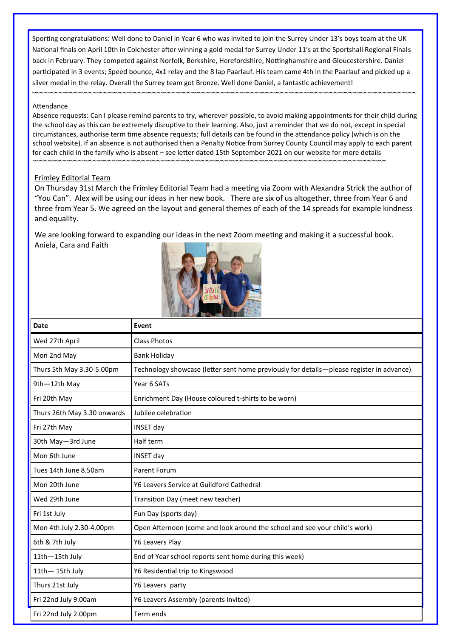Sporting congratulations: Well done to Daniel in Year 6 who was invited to join the Surrey Under 13's boys team at the UK National finals on April 10th in Colchester after winning a gold medal for Surrey Under 11's at the Sportshall Regional Finals back in February. They competed against Norfolk, Berkshire, Herefordshire, Nottinghamshire and Gloucestershire. Daniel participated in 3 events; Speed bounce, 4x1 relay and the 8 lap Paarlauf. His team came 4th in the Paarlauf and picked up a silver medal in the relay. Overall the Surrey team got Bronze. Well done Daniel, a fantastic achievement!

~~~~~~~~~~~~~~~~~~~~~~~~~~~~~~~~~~~~~~~~~~~~~~~~~~~~~~~~~~~~~~~~~~~~~~~~~~~~~~~~~~~~~~~~~~~~~~~~~~~~~~

## Attendance

Absence requests: Can I please remind parents to try, wherever possible, to avoid making appointments for their child during the school day as this can be extremely disruptive to their learning. Also, just a reminder that we do not, except in special circumstances, authorise term time absence requests; full details can be found in the attendance policy (which is on the school website). If an absence is not authorised then a Penalty Notice from Surrey County Council may apply to each parent for each child in the family who is absent – see letter dated 15th September 2021 on our website for more details ~~~~~~~~~~~~~~~~~~~~~~~~~~~~~~~~~~~~~~~~~~~~~~~~~~~~~~~~~~~~~~~~~~~~~~~~~~~~~~~~~~~~~~~~~~~~~~

## Frimley Editorial Team

On Thursday 31st March the Frimley Editorial Team had a meeting via Zoom with Alexandra Strick the author of "You Can". Alex will be using our ideas in her new book. There are six of us altogether, three from Year 6 and three from Year 5. We agreed on the layout and general themes of each of the 14 spreads for example kindness and equality.

We are looking forward to expanding our ideas in the next Zoom meeting and making it a successful book. Aniela, Cara and Faith



| <b>Date</b>                 | Event                                                                                      |
|-----------------------------|--------------------------------------------------------------------------------------------|
| Wed 27th April              | <b>Class Photos</b>                                                                        |
| Mon 2nd May                 | <b>Bank Holiday</b>                                                                        |
| Thurs 5th May 3.30-5.00pm   | Technology showcase (letter sent home previously for details - please register in advance) |
| 9th-12th May                | Year 6 SATs                                                                                |
| Fri 20th May                | Enrichment Day (House coloured t-shirts to be worn)                                        |
| Thurs 26th May 3.30 onwards | Jubilee celebration                                                                        |
| Fri 27th May                | <b>INSET day</b>                                                                           |
| 30th May-3rd June           | Half term                                                                                  |
| Mon 6th June                | <b>INSET day</b>                                                                           |
| Tues 14th June 8.50am       | Parent Forum                                                                               |
| Mon 20th June               | Y6 Leavers Service at Guildford Cathedral                                                  |
| Wed 29th June               | Transition Day (meet new teacher)                                                          |
| Fri 1st July                | Fun Day (sports day)                                                                       |
| Mon 4th July 2.30-4.00pm    | Open Afternoon (come and look around the school and see your child's work)                 |
| 6th & 7th July              | Y6 Leavers Play                                                                            |
| 11th-15th July              | End of Year school reports sent home during this week)                                     |
| $11th - 15th$ July          | Y6 Residential trip to Kingswood                                                           |
| Thurs 21st July             | Y6 Leavers party                                                                           |
| Fri 22nd July 9.00am        | Y6 Leavers Assembly (parents invited)                                                      |
| Fri 22nd July 2.00pm        | Term ends                                                                                  |